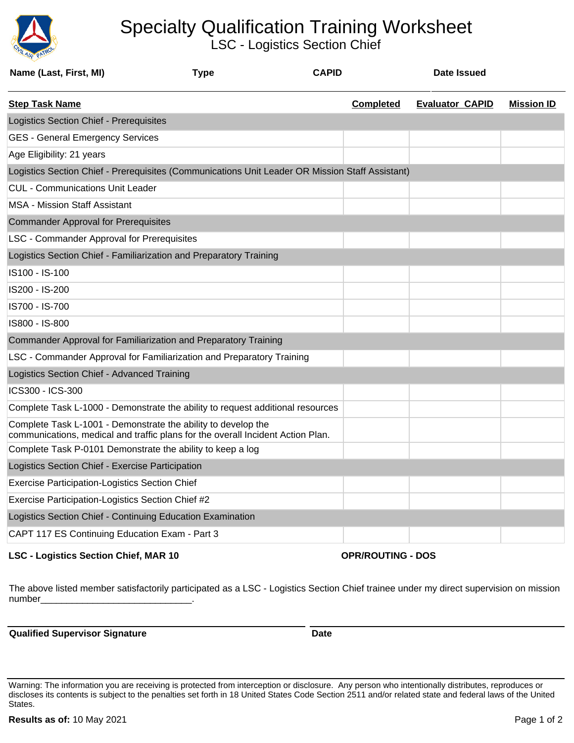

## Specialty Qualification Training Worksheet

LSC - Logistics Section Chief

| Name (Last, First, MI)                                                                                                                           | <b>Type</b> | <b>CAPID</b> |                  | <b>Date Issued</b>     |                   |  |  |
|--------------------------------------------------------------------------------------------------------------------------------------------------|-------------|--------------|------------------|------------------------|-------------------|--|--|
| <b>Step Task Name</b>                                                                                                                            |             |              | <b>Completed</b> | <b>Evaluator CAPID</b> | <b>Mission ID</b> |  |  |
| Logistics Section Chief - Prerequisites                                                                                                          |             |              |                  |                        |                   |  |  |
| <b>GES - General Emergency Services</b>                                                                                                          |             |              |                  |                        |                   |  |  |
| Age Eligibility: 21 years                                                                                                                        |             |              |                  |                        |                   |  |  |
| Logistics Section Chief - Prerequisites (Communications Unit Leader OR Mission Staff Assistant)                                                  |             |              |                  |                        |                   |  |  |
| <b>CUL - Communications Unit Leader</b>                                                                                                          |             |              |                  |                        |                   |  |  |
| <b>MSA - Mission Staff Assistant</b>                                                                                                             |             |              |                  |                        |                   |  |  |
| <b>Commander Approval for Prerequisites</b>                                                                                                      |             |              |                  |                        |                   |  |  |
| <b>LSC - Commander Approval for Prerequisites</b>                                                                                                |             |              |                  |                        |                   |  |  |
| Logistics Section Chief - Familiarization and Preparatory Training                                                                               |             |              |                  |                        |                   |  |  |
| IS100 - IS-100                                                                                                                                   |             |              |                  |                        |                   |  |  |
| IS200 - IS-200                                                                                                                                   |             |              |                  |                        |                   |  |  |
| IS700 - IS-700                                                                                                                                   |             |              |                  |                        |                   |  |  |
| IS800 - IS-800                                                                                                                                   |             |              |                  |                        |                   |  |  |
| Commander Approval for Familiarization and Preparatory Training                                                                                  |             |              |                  |                        |                   |  |  |
| LSC - Commander Approval for Familiarization and Preparatory Training                                                                            |             |              |                  |                        |                   |  |  |
| Logistics Section Chief - Advanced Training                                                                                                      |             |              |                  |                        |                   |  |  |
| ICS300 - ICS-300                                                                                                                                 |             |              |                  |                        |                   |  |  |
| Complete Task L-1000 - Demonstrate the ability to request additional resources                                                                   |             |              |                  |                        |                   |  |  |
| Complete Task L-1001 - Demonstrate the ability to develop the<br>communications, medical and traffic plans for the overall Incident Action Plan. |             |              |                  |                        |                   |  |  |
| Complete Task P-0101 Demonstrate the ability to keep a log                                                                                       |             |              |                  |                        |                   |  |  |
| Logistics Section Chief - Exercise Participation                                                                                                 |             |              |                  |                        |                   |  |  |
| <b>Exercise Participation-Logistics Section Chief</b>                                                                                            |             |              |                  |                        |                   |  |  |
| Exercise Participation-Logistics Section Chief #2                                                                                                |             |              |                  |                        |                   |  |  |
| Logistics Section Chief - Continuing Education Examination                                                                                       |             |              |                  |                        |                   |  |  |
| CAPT 117 ES Continuing Education Exam - Part 3                                                                                                   |             |              |                  |                        |                   |  |  |

## **LSC - Logistics Section Chief, MAR 10 OPR/ROUTING - DOS**

The above listed member satisfactorily participated as a LSC - Logistics Section Chief trainee under my direct supervision on mission number

**Qualified Supervisor Signature Date Date** 

Warning: The information you are receiving is protected from interception or disclosure. Any person who intentionally distributes, reproduces or discloses its contents is subject to the penalties set forth in 18 United States Code Section 2511 and/or related state and federal laws of the United States.